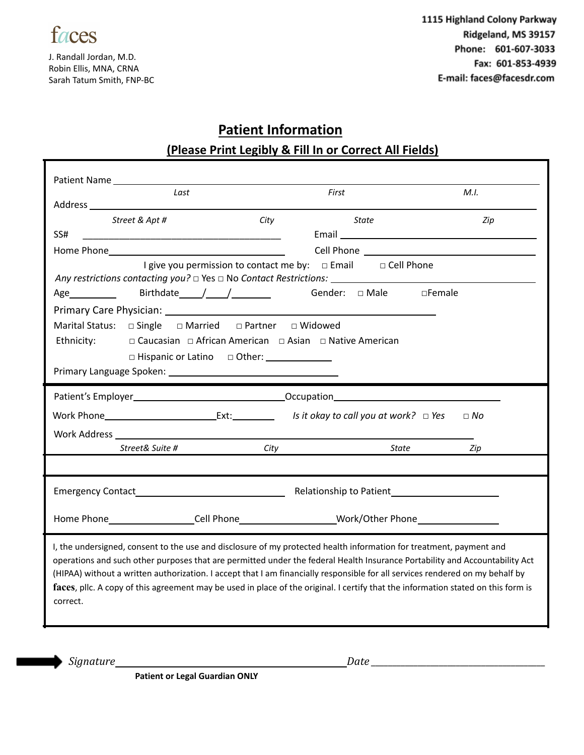

J. Randall Jordan, M.D. Robin Ellis, MNA, CRNA Sarah Tatum Smith, FNP-BC 1115 Highland Colony Parkway Ridgeland, MS 39157 Phone: 601-607-3033 Fax: 601-853-4939 E-mail: faces@facesdr.com

## **Patient Information**

## **(Please Print Legibly & Fill In or Correct All Fields)**

| Patient Name <u>Letter</u>                                                                                                                                                                                                                                                                                                                                                                                                                                                                                                           |                                   |                           |
|--------------------------------------------------------------------------------------------------------------------------------------------------------------------------------------------------------------------------------------------------------------------------------------------------------------------------------------------------------------------------------------------------------------------------------------------------------------------------------------------------------------------------------------|-----------------------------------|---------------------------|
| Last                                                                                                                                                                                                                                                                                                                                                                                                                                                                                                                                 | First                             | M.I.                      |
|                                                                                                                                                                                                                                                                                                                                                                                                                                                                                                                                      |                                   |                           |
| City<br>Street & Apt #                                                                                                                                                                                                                                                                                                                                                                                                                                                                                                               | State                             | Zip                       |
| SS#<br><u> 1989 - Johann John Harry Harry Harry Harry Harry Harry Harry Harry Harry Harry Harry Harry Harry Harry Harry H</u>                                                                                                                                                                                                                                                                                                                                                                                                        |                                   |                           |
|                                                                                                                                                                                                                                                                                                                                                                                                                                                                                                                                      |                                   |                           |
| I give you permission to contact me by: □ Email □ Cell Phone                                                                                                                                                                                                                                                                                                                                                                                                                                                                         |                                   |                           |
|                                                                                                                                                                                                                                                                                                                                                                                                                                                                                                                                      |                                   |                           |
|                                                                                                                                                                                                                                                                                                                                                                                                                                                                                                                                      | Gender: $\Box$ Male $\Box$ Female |                           |
|                                                                                                                                                                                                                                                                                                                                                                                                                                                                                                                                      |                                   |                           |
|                                                                                                                                                                                                                                                                                                                                                                                                                                                                                                                                      |                                   |                           |
| □ Caucasian □ African American □ Asian □ Native American<br>Ethnicity:                                                                                                                                                                                                                                                                                                                                                                                                                                                               |                                   |                           |
| □ Hispanic or Latino □ Other: ______________                                                                                                                                                                                                                                                                                                                                                                                                                                                                                         |                                   |                           |
|                                                                                                                                                                                                                                                                                                                                                                                                                                                                                                                                      |                                   |                           |
|                                                                                                                                                                                                                                                                                                                                                                                                                                                                                                                                      |                                   |                           |
|                                                                                                                                                                                                                                                                                                                                                                                                                                                                                                                                      |                                   | $\Box$ No                 |
| Work Address and the contract of the contract of the contract of the contract of the contract of the contract of the contract of the contract of the contract of the contract of the contract of the contract of the contract                                                                                                                                                                                                                                                                                                        |                                   |                           |
| Street& Suite #<br>City                                                                                                                                                                                                                                                                                                                                                                                                                                                                                                              |                                   | <b>State State</b><br>Zip |
|                                                                                                                                                                                                                                                                                                                                                                                                                                                                                                                                      |                                   |                           |
|                                                                                                                                                                                                                                                                                                                                                                                                                                                                                                                                      |                                   |                           |
| Home Phone____________________Cell Phone________________________Work/Other Phone___________________                                                                                                                                                                                                                                                                                                                                                                                                                                  |                                   |                           |
|                                                                                                                                                                                                                                                                                                                                                                                                                                                                                                                                      |                                   |                           |
| I, the undersigned, consent to the use and disclosure of my protected health information for treatment, payment and<br>operations and such other purposes that are permitted under the federal Health Insurance Portability and Accountability Act<br>(HIPAA) without a written authorization. I accept that I am financially responsible for all services rendered on my behalf by<br>faces, pllc. A copy of this agreement may be used in place of the original. I certify that the information stated on this form is<br>correct. |                                   |                           |

*Signature Date \_\_\_\_\_\_\_\_\_\_\_\_\_\_\_\_\_\_\_\_\_\_\_\_\_\_\_\_\_\_\_\_\_\_\_\_\_\_\_\_\_*

**Patient or Legal Guardian ONLY**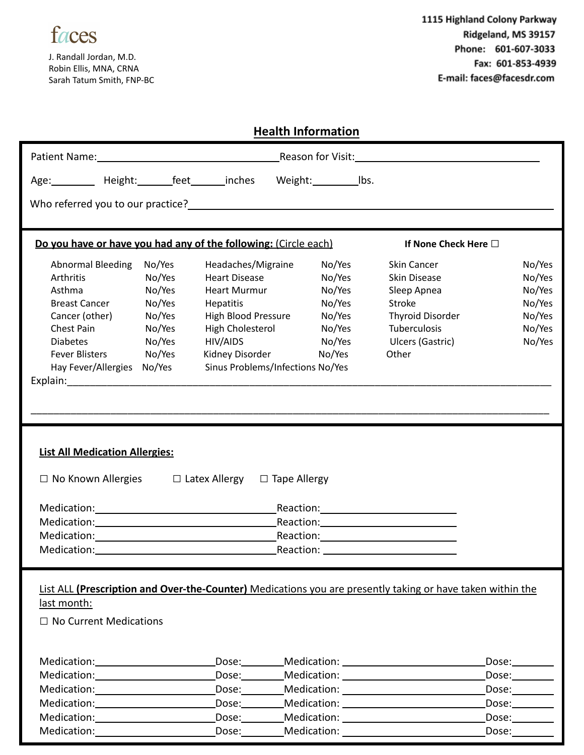

J. Randall Jordan, M.D. Robin Ellis, MNA, CRNA Sarah Tatum Smith, FNP-BC

| <b>Health Information</b>                                                                                                                                                                                                        |        |                                  |           |                  |                                                                                                                                                                                                                                |                                   |
|----------------------------------------------------------------------------------------------------------------------------------------------------------------------------------------------------------------------------------|--------|----------------------------------|-----------|------------------|--------------------------------------------------------------------------------------------------------------------------------------------------------------------------------------------------------------------------------|-----------------------------------|
|                                                                                                                                                                                                                                  |        |                                  |           |                  |                                                                                                                                                                                                                                |                                   |
| Age: Height: feet inches Weight: Ibs.                                                                                                                                                                                            |        |                                  |           |                  |                                                                                                                                                                                                                                |                                   |
| Who referred you to our practice?<br><u> Who referred</u> you to our practice?                                                                                                                                                   |        |                                  |           |                  |                                                                                                                                                                                                                                |                                   |
| Do you have or have you had any of the following: (Circle each)                                                                                                                                                                  |        |                                  |           |                  | If None Check Here □                                                                                                                                                                                                           |                                   |
| <b>Abnormal Bleeding</b>                                                                                                                                                                                                         | No/Yes | Headaches/Migraine               |           | No/Yes           | Skin Cancer                                                                                                                                                                                                                    | No/Yes                            |
| Arthritis                                                                                                                                                                                                                        | No/Yes | <b>Heart Disease</b>             |           | No/Yes           | Skin Disease                                                                                                                                                                                                                   | No/Yes                            |
| Asthma                                                                                                                                                                                                                           | No/Yes | Heart Murmur                     |           | No/Yes           | Sleep Apnea                                                                                                                                                                                                                    | No/Yes                            |
| <b>Breast Cancer</b>                                                                                                                                                                                                             | No/Yes | <b>Hepatitis</b>                 |           | No/Yes           | Stroke                                                                                                                                                                                                                         | No/Yes                            |
| Cancer (other)                                                                                                                                                                                                                   | No/Yes | High Blood Pressure              |           | No/Yes           | Thyroid Disorder                                                                                                                                                                                                               | No/Yes                            |
| Chest Pain                                                                                                                                                                                                                       | No/Yes | High Cholesterol<br>No/Yes       |           | Tuberculosis     | No/Yes                                                                                                                                                                                                                         |                                   |
| <b>Diabetes</b>                                                                                                                                                                                                                  | No/Yes | No/Yes<br>HIV/AIDS               |           | Ulcers (Gastric) | No/Yes                                                                                                                                                                                                                         |                                   |
| <b>Fever Blisters</b>                                                                                                                                                                                                            | No/Yes | Kidney Disorder                  |           | No/Yes           | Other                                                                                                                                                                                                                          |                                   |
| Hay Fever/Allergies No/Yes                                                                                                                                                                                                       |        | Sinus Problems/Infections No/Yes |           |                  |                                                                                                                                                                                                                                |                                   |
| Explain: 2008 and 2008 and 2008 and 2008 and 2008 and 2008 and 2008 and 2008 and 2008 and 2008 and 2008 and 20<br>Contract and 2008 and 2008 and 2008 and 2008 and 2008 and 2008 and 2008 and 2008 and 2008 and 2008 and 2008 an |        |                                  |           |                  |                                                                                                                                                                                                                                |                                   |
|                                                                                                                                                                                                                                  |        |                                  |           |                  |                                                                                                                                                                                                                                |                                   |
|                                                                                                                                                                                                                                  |        |                                  |           |                  |                                                                                                                                                                                                                                |                                   |
|                                                                                                                                                                                                                                  |        |                                  |           |                  |                                                                                                                                                                                                                                |                                   |
|                                                                                                                                                                                                                                  |        |                                  |           |                  |                                                                                                                                                                                                                                |                                   |
| <b>List All Medication Allergies:</b>                                                                                                                                                                                            |        |                                  |           |                  |                                                                                                                                                                                                                                |                                   |
|                                                                                                                                                                                                                                  |        |                                  |           |                  |                                                                                                                                                                                                                                |                                   |
| $\Box$ No Known Allergies $\Box$ Latex Allergy $\Box$ Tape Allergy                                                                                                                                                               |        |                                  |           |                  |                                                                                                                                                                                                                                |                                   |
|                                                                                                                                                                                                                                  |        |                                  |           |                  |                                                                                                                                                                                                                                |                                   |
|                                                                                                                                                                                                                                  |        |                                  |           |                  |                                                                                                                                                                                                                                |                                   |
|                                                                                                                                                                                                                                  |        |                                  |           |                  |                                                                                                                                                                                                                                |                                   |
|                                                                                                                                                                                                                                  |        |                                  |           |                  |                                                                                                                                                                                                                                |                                   |
| Medication:                                                                                                                                                                                                                      |        |                                  | Reaction: |                  |                                                                                                                                                                                                                                |                                   |
|                                                                                                                                                                                                                                  |        |                                  |           |                  |                                                                                                                                                                                                                                |                                   |
|                                                                                                                                                                                                                                  |        |                                  |           |                  |                                                                                                                                                                                                                                |                                   |
|                                                                                                                                                                                                                                  |        |                                  |           |                  | List ALL (Prescription and Over-the-Counter) Medications you are presently taking or have taken within the                                                                                                                     |                                   |
| last month:                                                                                                                                                                                                                      |        |                                  |           |                  |                                                                                                                                                                                                                                |                                   |
| $\Box$ No Current Medications                                                                                                                                                                                                    |        |                                  |           |                  |                                                                                                                                                                                                                                |                                   |
|                                                                                                                                                                                                                                  |        |                                  |           |                  |                                                                                                                                                                                                                                |                                   |
|                                                                                                                                                                                                                                  |        |                                  |           |                  |                                                                                                                                                                                                                                |                                   |
| Medication: Medication:                                                                                                                                                                                                          |        |                                  |           |                  |                                                                                                                                                                                                                                | Dose:_________                    |
|                                                                                                                                                                                                                                  |        |                                  |           |                  | Dose: Medication: Medication:                                                                                                                                                                                                  | $\mathsf{Dose:}\_\_\_\_\_\_\_\_\$ |
| Medication: ____________________                                                                                                                                                                                                 |        |                                  |           |                  | Dose: Medication: New Processing Contract Control Contract Contract Contract Contract Contract Contract Contract Contract Contract Contract Contract Contract Contract Contract Contract Contract Contract Contract Contract C | Dose:                             |
|                                                                                                                                                                                                                                  |        |                                  |           |                  |                                                                                                                                                                                                                                | Dose:                             |
| Medication: _______________________                                                                                                                                                                                              |        |                                  |           |                  | Dose: Medication: 1997 Medication: 1997 Medication: 2008                                                                                                                                                                       | Dose:                             |
| Medication: ___________________                                                                                                                                                                                                  |        | Dose:                            |           |                  |                                                                                                                                                                                                                                | Dose:                             |
|                                                                                                                                                                                                                                  |        |                                  |           |                  |                                                                                                                                                                                                                                |                                   |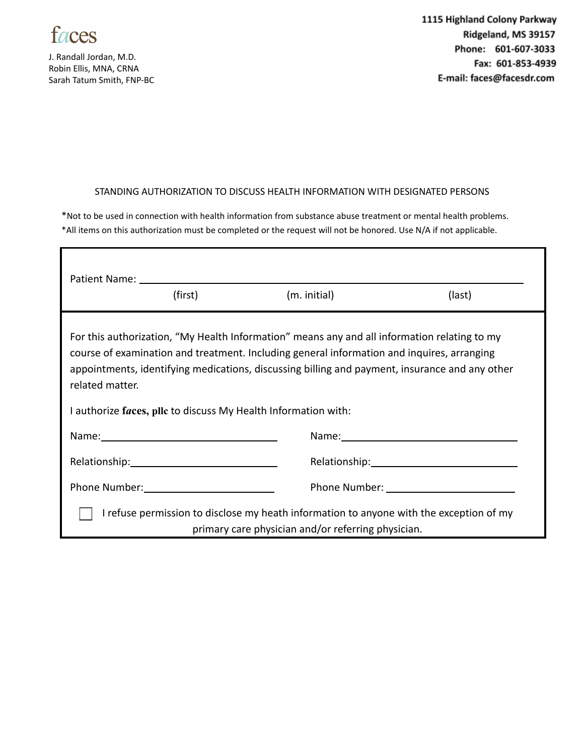

J. Randall Jordan, M.D. Robin Ellis, MNA, CRNA Sarah Tatum Smith, FNP-BC 1115 Highland Colony Parkway Ridgeland, MS 39157 Phone: 601-607-3033 Fax: 601-853-4939 E-mail: faces@facesdr.com

## STANDING AUTHORIZATION TO DISCUSS HEALTH INFORMATION WITH DESIGNATED PERSONS

\*Not to be used in connection with health information from substance abuse treatment or mental health problems. \*All items on this authorization must be completed or the request will not be honored. Use N/A if not applicable.

|                                                                                                                                                                                                                                                                                                                 | (first)                                  | (m. initial) | (last) |  |  |
|-----------------------------------------------------------------------------------------------------------------------------------------------------------------------------------------------------------------------------------------------------------------------------------------------------------------|------------------------------------------|--------------|--------|--|--|
| For this authorization, "My Health Information" means any and all information relating to my<br>course of examination and treatment. Including general information and inquires, arranging<br>appointments, identifying medications, discussing billing and payment, insurance and any other<br>related matter. |                                          |              |        |  |  |
| I authorize faces, pllc to discuss My Health Information with:                                                                                                                                                                                                                                                  |                                          |              |        |  |  |
|                                                                                                                                                                                                                                                                                                                 |                                          |              |        |  |  |
|                                                                                                                                                                                                                                                                                                                 |                                          |              |        |  |  |
|                                                                                                                                                                                                                                                                                                                 | Phone Number: 1999 March 1999 March 1999 |              |        |  |  |
| I refuse permission to disclose my heath information to anyone with the exception of my<br>primary care physician and/or referring physician.                                                                                                                                                                   |                                          |              |        |  |  |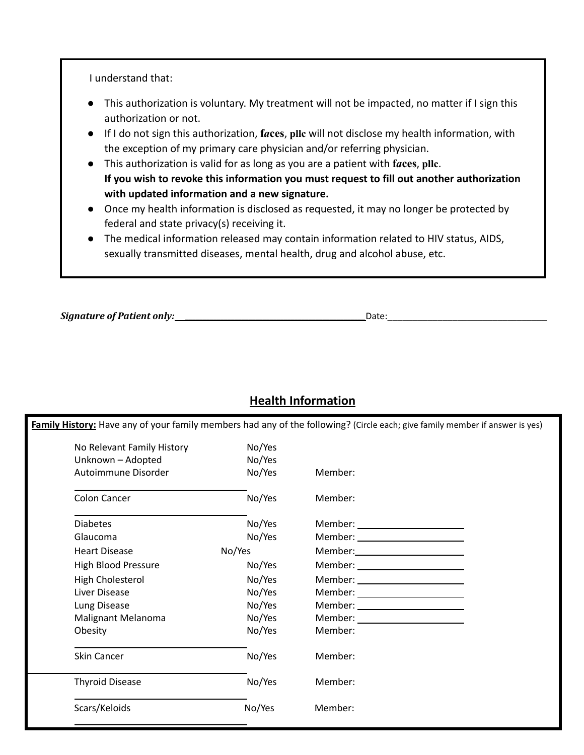I understand that:

- This authorization is voluntary. My treatment will not be impacted, no matter if I sign this authorization or not.
- If I do not sign this authorization, **f***a***ces**, **pllc** will not disclose my health information, with the exception of my primary care physician and/or referring physician.
- This authorization is valid for as long as you are a patient with **f***a***ces**, **pllc**. **If you wish to revoke this information you must request to fill out another authorization with updated information and a new signature.**
- Once my health information is disclosed as requested, it may no longer be protected by federal and state privacy(s) receiving it.
- The medical information released may contain information related to HIV status, AIDS, sexually transmitted diseases, mental health, drug and alcohol abuse, etc.

*Signature of Patient only: \_\_\_\_\_\_\_\_\_\_\_\_\_\_\_\_\_\_\_\_\_\_\_\_\_\_\_\_\_\_\_\_\_\_\_\_\_\_\_\_\_\_\_\_\_\_\_\_\_\_\_*Date:\_\_\_\_\_\_\_\_\_\_\_\_\_\_\_\_\_\_\_\_\_\_\_\_\_\_\_\_\_\_\_\_

## **Health Information**

**Family History:** Have any of your family members had any of the following? (Circle each; give family member if answer is yes)

| No Relevant Family History | No/Yes |                                    |
|----------------------------|--------|------------------------------------|
| Unknown - Adopted          | No/Yes |                                    |
| Autoimmune Disorder        | No/Yes | Member:                            |
| Colon Cancer               | No/Yes | Member:                            |
| <b>Diabetes</b>            | No/Yes | Member: ________________________   |
| Glaucoma                   | No/Yes |                                    |
| <b>Heart Disease</b>       | No/Yes |                                    |
| <b>High Blood Pressure</b> | No/Yes |                                    |
| High Cholesterol           | No/Yes | Member: __________________________ |
| Liver Disease              | No/Yes | Member: _______________________    |
| Lung Disease               | No/Yes |                                    |
| Malignant Melanoma         | No/Yes | Member: ________________________   |
| Obesity                    | No/Yes | Member:                            |
| Skin Cancer                | No/Yes | Member:                            |
| <b>Thyroid Disease</b>     | No/Yes | Member:                            |
| Scars/Keloids              | No/Yes | Member:                            |